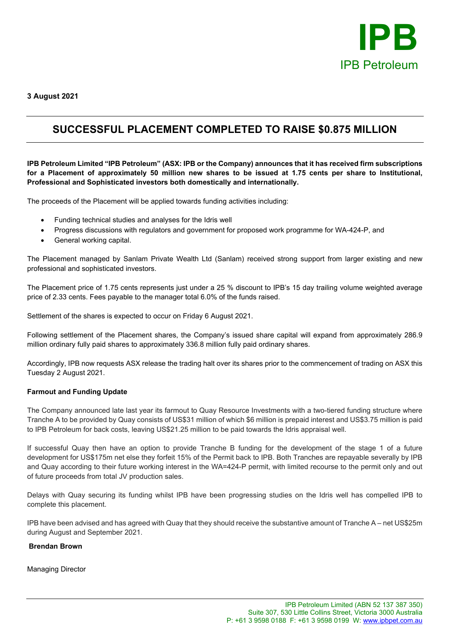

**3 August 2021**

## **SUCCESSFUL PLACEMENT COMPLETED TO RAISE \$0.875 MILLION**

**IPB Petroleum Limited "IPB Petroleum" (ASX: IPB or the Company) announces that it has received firm subscriptions for a Placement of approximately 50 million new shares to be issued at 1.75 cents per share to Institutional, Professional and Sophisticated investors both domestically and internationally.**

The proceeds of the Placement will be applied towards funding activities including:

- Funding technical studies and analyses for the Idris well
- Progress discussions with regulators and government for proposed work programme for WA-424-P, and
- General working capital.

The Placement managed by Sanlam Private Wealth Ltd (Sanlam) received strong support from larger existing and new professional and sophisticated investors.

The Placement price of 1.75 cents represents just under a 25 % discount to IPB's 15 day trailing volume weighted average price of 2.33 cents. Fees payable to the manager total 6.0% of the funds raised.

Settlement of the shares is expected to occur on Friday 6 August 2021.

Following settlement of the Placement shares, the Company's issued share capital will expand from approximately 286.9 million ordinary fully paid shares to approximately 336.8 million fully paid ordinary shares.

Accordingly, IPB now requests ASX release the trading halt over its shares prior to the commencement of trading on ASX this Tuesday 2 August 2021.

## **Farmout and Funding Update**

The Company announced late last year its farmout to Quay Resource Investments with a two-tiered funding structure where Tranche A to be provided by Quay consists of US\$31 million of which \$6 million is prepaid interest and US\$3.75 million is paid to IPB Petroleum for back costs, leaving US\$21.25 million to be paid towards the Idris appraisal well.

If successful Quay then have an option to provide Tranche B funding for the development of the stage 1 of a future development for US\$175m net else they forfeit 15% of the Permit back to IPB. Both Tranches are repayable severally by IPB and Quay according to their future working interest in the WA=424-P permit, with limited recourse to the permit only and out of future proceeds from total JV production sales.

Delays with Quay securing its funding whilst IPB have been progressing studies on the Idris well has compelled IPB to complete this placement.

IPB have been advised and has agreed with Quay that they should receive the substantive amount of Tranche A – net US\$25m during August and September 2021.

## **Brendan Brown**

Managing Director